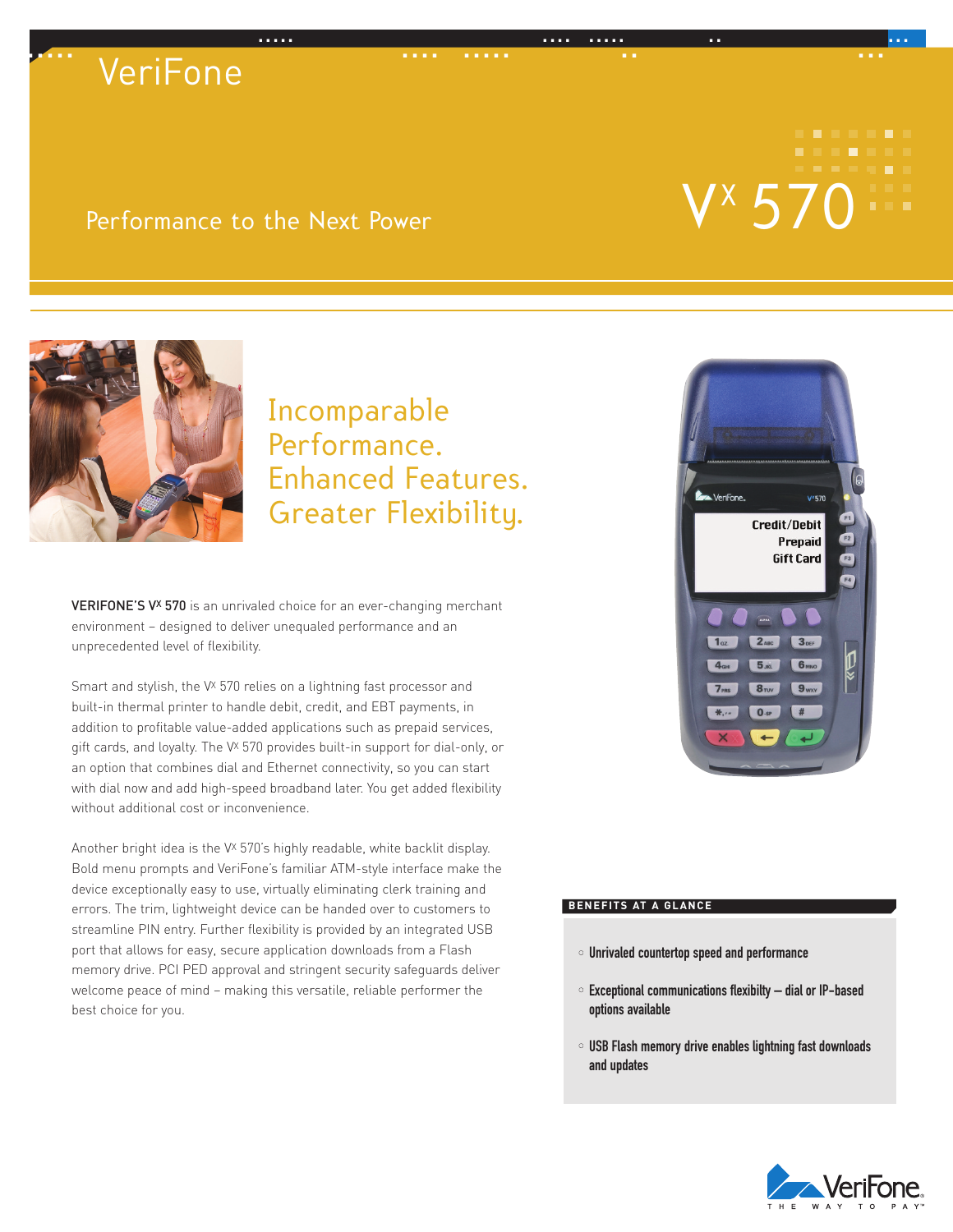# ..... .... ..... .. ... ..... .... ..... .. ... **VeriFone**

## Performance to the Next Power

# VX



## Incomparable Performance. Enhanced Features. Greater Flexibility.

VERIFONE'S V<sup>x</sup> 570 is an unrivaled choice for an ever-changing merchant environment – designed to deliver unequaled performance and an unprecedented level of flexibility.

Smart and stylish, the V<sup>x</sup> 570 relies on a lightning fast processor and built-in thermal printer to handle debit, credit, and EBT payments, in addition to profitable value-added applications such as prepaid services, gift cards, and loyalty. The V<sup>x</sup> 570 provides built-in support for dial-only, or an option that combines dial and Ethernet connectivity, so you can start with dial now and add high-speed broadband later. You get added flexibility without additional cost or inconvenience.

Another bright idea is the V<sup>x</sup> 570's highly readable, white backlit display. Bold menu prompts and VeriFone's familiar ATM-style interface make the device exceptionally easy to use, virtually eliminating clerk training and errors. The trim, lightweight device can be handed over to customers to streamline PIN entry. Further flexibility is provided by an integrated USB port that allows for easy, secure application downloads from a Flash memory drive. PCI PED approval and stringent security safeguards deliver welcome peace of mind – making this versatile, reliable performer the best choice for you.



### **BENEFITS AT A GLANCE**

- Unrivaled countertop speed and performance
- Exceptional communications flexibilty dial or IP-based options available
- USB Flash memory drive enables lightning fast downloads and updates